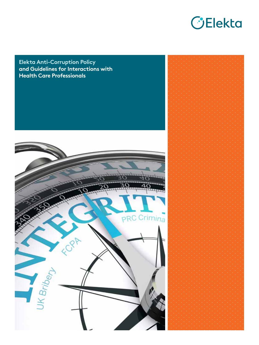

**Elekta Anti-Corruption Policy and Guidelines for Interactions with Health Care Professionals**

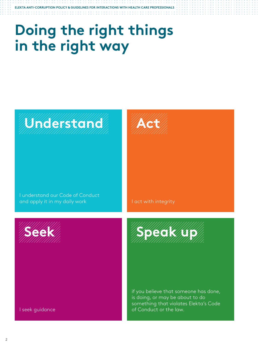## **Doing the right things in the right way**

**ELEKTA ANTI-CORRUPTION POLICY & GUIDELINES FOR INTERACTIONS WITH HEALTH CARE PROFESSIONALS**

# Understand

I understand our Code of Conduct and apply it in my daily work



I seek guidance



I act with integrity



if you believe that someone has done, is doing, or may be about to do something that violates Elekta's Code of Conduct or the law.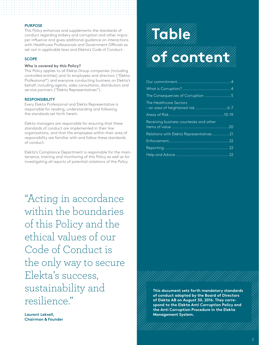#### **PURPOSE**

This Policy enhances and supplements the standards of conduct regarding bribery and corruption and other improper influence and gives additional guidance on interactions with Healthcare Professionals and Government Officials as set out in applicable laws and Elekta's Code of Conduct.

#### **SCOPE**

#### **Who is covered by this Policy?**

This Policy applies to all Elekta Group companies (including controlled entities) and its employees and directors ("Elekta Professional") and everyone conducting business on Elekta's behalf, including agents, sales consultants, distributors and service partners ("Elekta Representatives").

#### **RESPONSIBILITY**

Every Elekta Professional and Elekta Representative is responsible for reading, understanding and following the standards set forth herein.

Elekta managers are responsible for ensuring that these standards of conduct are implemented in their line organizations, and that the employees within their area of responsibility are familiar with and follow these standards of conduct.

Elekta's Compliance Department is responsible for the maintenance, training and monitoring of this Policy as well as for investigating all reports of potential violations of the Policy.

"Acting in accordance within the boundaries of this Policy and the ethical values of our Code of Conduct is the only way to secure Elekta's success, sustainability and resilience."

**Laurent Leksell, Chairman & Founder**



| The Consequences of Corruption 5                |
|-------------------------------------------------|
| The Healthcare Sectors                          |
|                                                 |
| Receiving business courtesies and other<br>. 20 |
| Relations with Elekta Representatives 21        |
|                                                 |
|                                                 |
|                                                 |

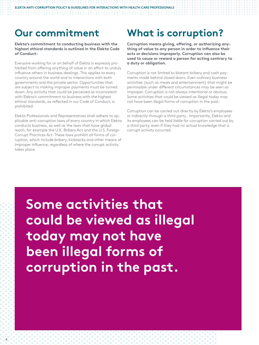**Elekta's commitment to conducting business with the highest ethical standards is outlined in the Elekta Code of Conduct:**

Everyone working for or on behalf of Elekta is expressly prohibited from offering anything of value in an effort to unduly influence others in business dealings. This applies to every country around the world and to interactions with both governments and the private sector. Opportunities that are subject to making improper payments must be turned down. Any activity that could be perceived as inconsistent with Elekta's commitment to business with the highest ethical standards, as reflected in our Code of Conduct, is prohibited.

Elekta Professionals and Representatives shall adhere to applicable anti-corruption laws of every country in which Elekta conducts business, as well as the laws that have global reach, for example the U.K. Bribery Act and the U.S. Foreign Corrupt Practices Act. These laws prohibit all forms of corruption, which include bribery, kickbacks and other means of improper influence, regardless of where the corrupt activity takes place.

## **Our commitment What is corruption?**

**Corruption means giving, offering, or authorizing anything of value to any person in order to influence their acts or decisions improperly. Corruption can also be used to cause or reward a person for acting contrary to a duty or obligation.** 

Corruption is not limited to blatant bribery and cash payments made behind closed doors. Even ordinary business activities (such as meals and entertainment) that might be permissible under different circumstances may be seen as improper. Corruption is not always intentional or obvious. Some activities that could be viewed as illegal today may not have been illegal forms of corruption in the past.

Corruption can be carried out directly by Elekta's employees or indirectly through a third party. Importantly, Elekta and its employees can be held liable for corruption carried out by a third party, even if they had no actual knowledge that a corrupt activity occurred.

**Some activities that could be viewed as illegal today may not have been illegal forms of corruption in the past.**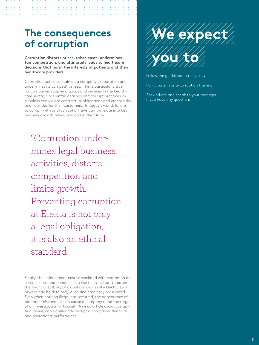## **The consequences of corruption**

**Corruption distorts prices, raises costs, undermines fair competition, and ultimately leads to healthcare decisions that harm the interests of patients and their healthcare providers.** 

Corruption acts as a stain on a company's reputation and undermines its competitiveness. This is particularly true for companies supplying goods and services in the healthcare sector, since unfair dealings and corrupt practices by suppliers can violate contractual obligations and create risks and liabilities for their customers. In today's world, failure to comply with anti-corruption laws can translate into lost business opportunities, now and in the future.

"Corruption undermines legal business activities, distorts competition and limits growth. Preventing corruption at Elekta is not only a legal obligation, it is also an ethical standard

Finally, the enforcement costs associated with corruption are severe. Fines and penalties can rise to levels that threaten the financial stability of global companies like Elekta. Employees can be detained, jailed and criminally prosecuted. Even when nothing illegal has occurred, the appearance of potential misconduct can cause a company to be the target of an investigation or lawsuit. A news article about corruption, alone, can significantly disrupt a company's financial and operational performance.



Follow the guidelines in this policy

Participate in anti-corruption training

Seek advice and speak to your manager if you have any questions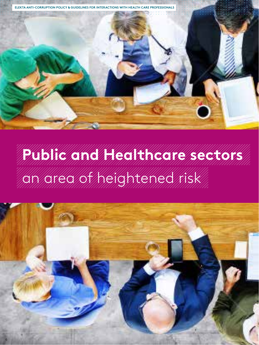

# an area of heightened risk **Public and Health Care section of the Care section**

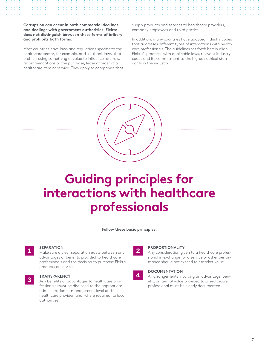**Corruption can occur in both commercial dealings and dealings with government authorities. Elekta does not distinguish between these forms of bribery and prohibits both forms.** 

Most countries have laws and regulations specific to the healthcare sector, for example, anti-kickback laws, that prohibit using something of value to influence referrals, recommendations or the purchase, lease or order of a healthcare item or service. They apply to companies that supply products and services to healthcare providers, company employees and third parties.

In addition, many countries have adopted industry codes that addresses different types of interactions with health care professionals. The guidelines set forth herein align Elekta's practices with applicable laws, relevant industry codes and its commitment to the highest ethical standards in the industry.



## **Guiding principles for interactions with healthcare professionals**

**Follow these basic principles:**

**4**

#### **SEPARATION**

Make sure a clear separation exists between any **1 2** advantages or benefits provided to healthcare professionals and the decision to purchase Elekta products or services.

### **3**

#### **TRANSPARENCY**

Any benefits or advantages to healthcare professionals must be disclosed to the appropriate administration or management level of the healthcare provider, and, where required, to local authorities.

#### **PROPORTIONALITY**

Any consideration given to a healthcare professional in exchange for a service or other performance should not exceed fair market value.

#### **DOCUMENTATION**

All arrangements involving an advantage, benefit, or item of value provided to a healthcare professional must be clearly documented.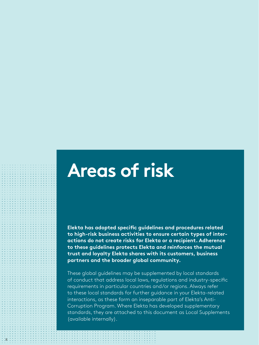# **Areas of risk**

8

**Elekta has adopted specific guidelines and procedures related to high-risk business activities to ensure certain types of interactions do not create risks for Elekta or a recipient. Adherence to these guidelines protects Elekta and reinforces the mutual trust and loyalty Elekta shares with its customers, business partners and the broader global community.** 

These global guidelines may be supplemented by local standards of conduct that address local laws, regulations and industry-specific requirements in particular countries and/or regions. Always refer to these local standards for further guidance in your Elekta-related interactions, as these form an inseparable part of Elekta's Anti-Corruption Program. Where Elekta has developed supplementary standards, they are attached to this document as Local Supplements (available internally).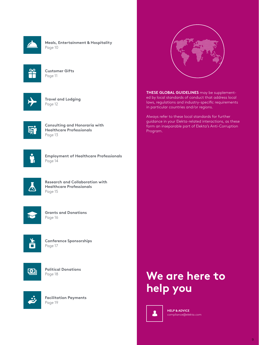

**Meals, Entertainment & Hospitality** Page 10



**Customer Gifts** Page 11



**Travel and Lodging** Page 12



**Consulting and Honoraria with Healthcare Professionals** Page 13



**Employment of Healthcare Professionals** Page 14



**Research and Collaboration with Healthcare Professionals** Page 15







**Conference Sponsorships** Page 17







**Facilitation Payments** Page 19



**THESE GLOBAL GUIDELINES** may be supplemented by local standards of conduct that address local laws, regulations and industry-specific requirements in particular countries and/or regions.

Always refer to these local standards for further guidance in your Elekta-related interactions, as these form an inseparable part of Elekta's Anti-Corruption Program.

## **We are here to help you**



**HELP & ADVICE**  compliance@elekta.com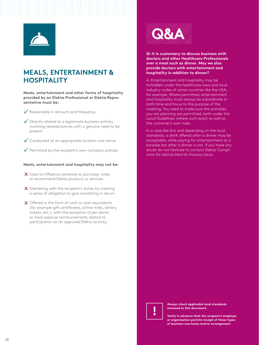

## **MEALS, ENTERTAINMENT & HOSPITALITY**

**Meals, entertainment and other forms of hospitality provided by an Elekta Professional or Elekta Representative must be:**

 $\sqrt{\ }$  Reasonable in amount and frequency

- $\checkmark$  Directly related to a legitimate business activity involving representatives with a genuine need to be present
- $\checkmark$  Conducted at an appropriate location and venue
- $\checkmark$  Permitted by the recipient's own company policies

#### **Meals, entertainment and hospitality may not be:**

- $\boldsymbol{\times}$  Used to influence someone to purchase, order, or recommend Elekta products or services
- $\times$  Interfering with the recipient's duties by creating a sense of obligation to give something in return
- X Offered in the form of cash or cash equivalents (for example gift certificates, airline miles, lottery tickets, etc.), with the exception of per diems or meal expense reimbursements related to participation at an approved Elekta activity.



**Q: It is customary to discuss business with doctors and other Healthcare Professionals over a meal such as dinner. May we also provide doctors with entertainment and hospitality in addition to dinner?** 

A: Entertainment and hospitality may be forbidden under the healthcare laws and local industry codes of some countries like the USA, for example. Where permitted, entertainment and hospitality must always be subordinate in both time and focus to the purpose of the meeting. You need to make sure the activities you are planning are permitted, both under the Local Guidelines (where such exist) as well as the customer's own rules.

In a case like this and depending on the local standards, a drink offered after a dinner may be acceptable, while paying for entertainment at a karaoke bar after a dinner is not. If you have any doubt do not hesitate to contact Elekta Compliance for advice.lobortis rhoncus lacus.



**Always check applicable local standards enclosed to this document.**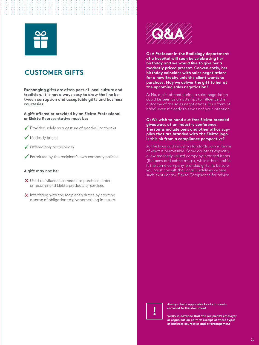

## **CUSTOMER GIFTS**

**Exchanging gifts are often part of local culture and tradition. It is not always easy to draw the line between corruption and acceptable gifts and business courtesies.**

**A gift offered or provided by an Elekta Professional or Elekta Representative must be:**

- $\checkmark$  Provided solely as a gesture of goodwill or thanks
- $\sqrt{\ }$  Modestly priced
- $\checkmark$  Offered only occasionally
- $\checkmark$  Permitted by the recipient's own company policies

#### **A gift may not be:**

- X Used to influence someone to purchase, order, or recommend Elekta products or services
- $\times$  Interfering with the recipient's duties by creating a sense of obligation to give something in return.



**Q: A Professor in the Radiology department of a hospital will soon be celebrating her birthday and we would like to give her a modestly priced present. Conveniently, her birthday coincides with sales negotiations for a new Brachy unit the client wants to purchase. May we deliver the gift to her at the upcoming sales negotiation?**

A: No, a gift offered during a sales negotiation could be seen as an attempt to influence the outcome of the sales negotiations (as a form of bribe) even if clearly this was not your intention.

**Q: We wish to hand out free Elekta branded giveaways at an industry conference. The items include pens and other office supplies that are branded with the Elekta logo. Is this ok from a compliance perspective?**

A: The laws and industry standards vary in terms of what is permissible. Some countries explicitly allow modestly valued company-branded items (like pens and coffee mugs), while others prohibit the same company-branded gifts. To be sure you must consult the Local Guidelines (where such exist) or ask Elekta Compliance for advice.



**Always check applicable local standards enclosed to this document.**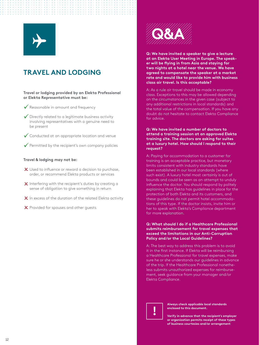

## **TRAVEL AND LODGING**

#### **Travel or lodging provided by an Elekta Professional or Elekta Representative must be:**

- $\sqrt{\ }$  Reasonable in amount and frequency
- $\checkmark$  Directly related to a legitimate business activity involving representatives with a genuine need to be present
- $\checkmark$  Conducted at an appropriate location and venue
- $\sqrt{\ }$  Permitted by the recipient's own company policies

#### **Travel & lodging may not be:**

- $\times$  Used to influence or reward a decision to purchase, order, or recommend Elekta products or services
- $\times$  Interfering with the recipient's duties by creating a sense of obligation to give something in return
- $\times$  In excess of the duration of the related Elekta activity
- X Provided for spouses and other quests



**Q: We have invited a speaker to give a lecture at an Elekta User Meeting in Europe. The speaker will be flying in from Asia and staying for two nights at a hotel near the venue. We have agreed to compensate the speaker at a market rate and would like to provide him with business class air travel. Is this acceptable?**

A: As a rule air travel should be made in economy class. Exceptions to this may be allowed depending on the circumstances in the given case (subject to any additional restrictions in local standards) and the total value of the compensation. If you have any doubt do not hesitate to contact Elekta Compliance for advice.

#### **Q: We have invited a number of doctors to attend a training session at an approved Elekta training site. The doctors are asking for suites at a luxury hotel. How should I respond to their request?**

A: Paying for accommodation to a customer for training is an acceptable practice, but monetary limits consistent with industry standards have been established in our local standards (where such exist). A luxury hotel most certainly is out of bounds and could be seen as an attempt to unduly influence the doctor. You should respond by politely explaining that Elekta has guidelines in place for the protection of both Elekta and its customers, and these guidelines do not permit hotel accommodations of this type. If the doctor insists, invite him or her to speak with Elekta's Compliance department for more explanation.

#### **Q: What should I do if a Healthcare Professional submits reimbursement for travel expenses that exceed the limitations in our Anti-Corruption Policy and/or the Local Guidelines?**

A: The best way to address this problem is to avoid it in the first instance. If Elekta will be reimbursing a Healthcare Professional for travel expenses, make sure he or she understands our guidelines in advance of the trip. If the Healthcare Professional nonetheless submits unauthorized expenses for reimbursement, seek guidance from your manager and/or Elekta Compliance.



**Always check applicable local standards enclosed to this document.**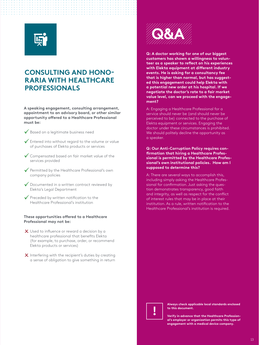

### **CONSULTING AND HONO-RARIA WITH HEALTHCARE PROFESSIONALS**

**A speaking engagement, consulting arrangement, appointment to an advisory board, or other similar opportunity offered to a Healthcare Professional must be:** 

- $\sqrt{\ }$  Based on a legitimate business need
- $\checkmark$  Entered into without regard to the volume or value of purchases of Elekta products or services
- $\checkmark$  Compensated based on fair market value of the services provided
- $\sqrt{\ }$  Permitted by the Healthcare Professional's own company policies
- $\checkmark$  Documented in a written contract reviewed by Elekta's Legal Department
- $\checkmark$  Preceded by written notification to the Healthcare Professional's institution

#### **These opportunities offered to a Healthcare Professional may not be:**

- X Used to influence or reward a decision by a healthcare professional that benefits Elekta (for example, to purchase, order, or recommend Elekta products or services)
- $\times$  Interfering with the recipient's duties by creating a sense of obligation to give something in return



**Q: A doctor working for one of our biggest customers has shown a willingness to volunteer as a speaker to reflect on his experiences with Elekta equipment at different industry events. He is asking for a consultancy fee that is higher than normal, but has suggested this engagement could help Elekta with a potential new order at his hospital. If we negotiate the doctor's rate to a fair market value level, can we proceed with the engagement?**

A: Engaging a Healthcare Professional for a service should never be (and should never be perceived to be) connected to the purchase of Elekta equipment or services. Engaging the doctor under these circumstances is prohibited. We should politely decline the opportunity as a speaker.

**Q: Our Anti-Corruption Policy requires confirmation that hiring a Healthcare Professional is permitted by the Healthcare Professional's own institutional policies. How am I supposed to determine this?**

A: There are several ways to accomplish this, including simply asking the Healthcare Professional for confirmation. Just asking the question demonstrates transparency, good faith and integrity, as well as respect for the conflict of interest rules that may be in place at their institution. As a rule, written notification to the Healthcare Professional's institution is required.



**Always check applicable local standards enclosed to this document.** 

**Verify in advance that the Healthcare Professional's employer or organization permits this type of engagement with a medical device company.**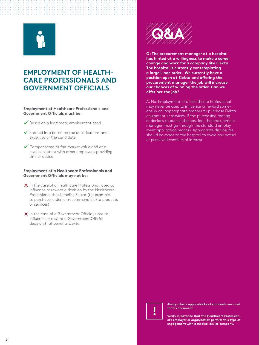

## **EMPLOYMENT OF HEALTH-CARE PROFESSIONALS AND GOVERNMENT OFFICIALS**

#### **Employment of Healthcare Professionals and Government Officials must be:**

- $\sqrt{\ }$  Based on a legitimate employment need
- $\checkmark$  Entered into based on the qualifications and expertise of the candidate
- $\checkmark$  Compensated at fair market value and at a level consistent with other employees providing similar duties

#### **Employment of a Healthcare Professionals and Government Officials may not be:**

- $\times$  In the case of a Healthcare Professional, used to influence or reward a decision by the Healthcare Professional that benefits Elekta (for example, to purchase, order, or recommend Elekta products or services)
- X In the case of a Government Official, used to influence or reward a Government Official decision that benefits Elekta



**Q: The procurement manager at a hospital has hinted at a willingness to make a career change and work for a company like Elekta. The hospital is currently contemplating a large Linac order. We currently have a position open at Elekta and offering the procurement manager the job will increase our chances of winning the order. Can we offer her the job?**

A: No. Employment of a Healthcare Professional may never be used to influence or reward someone in an inappropriate manner to purchase Elekta equipment or services. If the purchasing manager decides to pursue the position, the procurement manager must go through the standard employment application process. Appropriate disclosures should be made to the hospital to avoid any actual or perceived conflicts of interest.



**Always check applicable local standards enclosed to this document.** 

**Verify in advance that the Healthcare Professional's employer or organization permits this type of engagement with a medical device company.**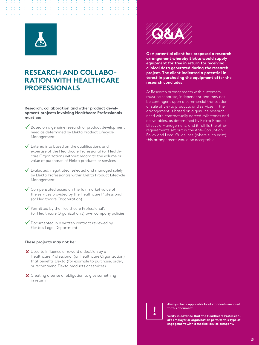

### **RESEARCH AND COLLABO-RATION WITH HEALTHCARE PROFESSIONALS**

**Research, collaboration and other product development projects involving Healthcare Professionals must be:**

- $\sqrt{\ }$  Based on a genuine research or product development need as determined by Elekta Product Lifecycle Management
- $\checkmark$  Entered into based on the qualifications and expertise of the Healthcare Professional (or Healthcare Organization) without regard to the volume or value of purchases of Elekta products or services
- $\checkmark$  Evaluated, negotiated, selected and managed solely by Elekta Professionals within Elekta Product Lifecycle Management
- $\checkmark$  Compensated based on the fair market value of the services provided by the Healthcare Professional (or Healthcare Organization)
- $\checkmark$  Permitted by the Healthcare Professional's (or Healthcare Organization's) own company policies
- $\checkmark$  Documented in a written contract reviewed by Elekta's Legal Department

#### **These projects may not be:**

- X Used to influence or reward a decision by a Healthcare Professional (or Healthcare Organization) that benefits Elekta (for example to purchase, order, or recommend Elekta products or services)
- $\boldsymbol{\times}$  Creating a sense of obligation to give something in return



**Q: A potential client has proposed a research arrangement whereby Elekta would supply equipment for free in return for receiving clinical data generated during the research project. The client indicated a potential interest in purchasing the equipment after the research concludes.** 

A: Research arrangements with customers must be separate, independent and may not be contingent upon a commercial transaction or sale of Elekta products and services. If the arrangement is based on a genuine research need with contractually agreed milestones and deliverables, as determined by Elekta Product Lifecycle Management, and it fulfills the other requirements set out in the Anti-Corruption Policy and Local Guidelines (where such exist), this arrangement would be acceptable.



**Always check applicable local standards enclosed to this document.** 

**Verify in advance that the Healthcare Professional's employer or organization permits this type of engagement with a medical device company.**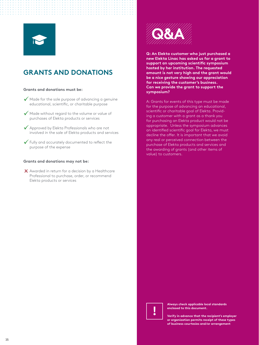

## **GRANTS AND DONATIONS**

#### **Grants and donations must be:**

- $\sqrt{\ }$  Made for the sole purpose of advancing a genuine educational, scientific, or charitable purpose
- $\sqrt{\ }$  Made without regard to the volume or value of purchases of Elekta products or services
- $\sqrt{\phantom{a}}$  Approved by Elekta Professionals who are not involved in the sale of Elekta products and services
- $\checkmark$  Fully and accurately documented to reflect the purpose of the expense

#### **Grants and donations may not be:**

X Awarded in return for a decision by a Healthcare Professional to purchase, order, or recommend Elekta products or services



**Q: An Elekta customer who just purchased a new Elekta Linac has asked us for a grant to support an upcoming scientific symposium hosted by her institution. The requested amount is not very high and the grant would be a nice gesture showing our appreciation for receiving the customer's business. Can we provide the grant to support the symposium?**

A: Grants for events of this type must be made for the purpose of advancing an educational, scientific or charitable goal of Elekta. Providing a customer with a grant as a thank you for purchasing an Elekta product would not be appropriate. Unless the symposium advances an identified scientific goal for Elekta, we must decline the offer. It is important that we avoid any real or perceived connection between the purchase of Elekta products and services and the awarding of grants (and other items of value) to customers.



**Always check applicable local standards enclosed to this document.**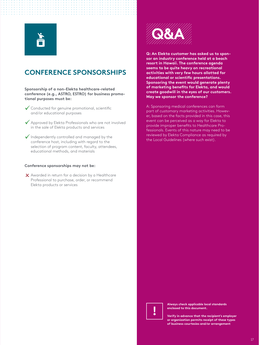

## **CONFERENCE SPONSORSHIPS**

**Sponsorship of a non-Elekta healthcare-related conference (e.g., ASTRO, ESTRO) for business promotional purposes must be:**

- $\checkmark$  Conducted for genuine promotional, scientific and/or educational purposes
- $\sqrt{\phantom{a}}$  Approved by Elekta Professionals who are not involved in the sale of Elekta products and services
- $\checkmark$  Independently controlled and managed by the conference host, including with regard to the selection of program content, faculty, attendees, educational methods, and materials

#### **Conference sponsorships may not be:**

 $\boldsymbol{\times}$  Awarded in return for a decision by a Healthcare Professional to purchase, order, or recommend Elekta products or services



**Q: An Elekta customer has asked us to sponsor an industry conference held at a beach resort in Hawaii. The conference agenda seems to be quite heavy on recreational activities with very few hours allotted for educational or scientific presentations. Sponsoring the event would generate plenty of marketing benefits for Elekta, and would create goodwill in the eyes of our customers. May we sponsor the conference?** 

A: Sponsoring medical conferences can form part of customary marketing activities. However, based on the facts provided in this case, this event can be perceived as a way for Elekta to provide improper benefits to Healthcare Professionals. Events of this nature may need to be reviewed by Elekta Compliance as required by the Local Guidelines (where such exist).



**Always check applicable local standards enclosed to this document.**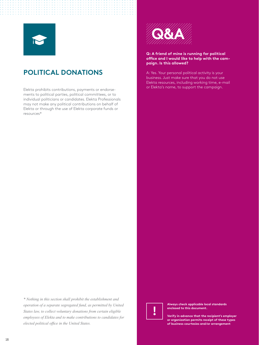

## **POLITICAL DONATIONS**

Elekta prohibits contributions, payments or endorsements to political parties, political committees, or to individual politicians or candidates. Elekta Professionals may not make any political contributions on behalf of Elekta or through the use of Elekta corporate funds or resources\*

*\* Nothing in this section shall prohibit the establishment and operation of a separate segregated fund, as permitted by United States law, to collect voluntary donations from certain eligible employees of Elekta and to make contributions to candidates for elected political office in the United States.*



#### **Q: A friend of mine is running for political office and I would like to help with the campaign. Is this allowed?**

A: Yes. Your personal political activity is your business. Just make sure that you do not use Elekta resources, including working time, e-mail or Elekta's name, to support the campaign.



**Always check applicable local standards enclosed to this document.**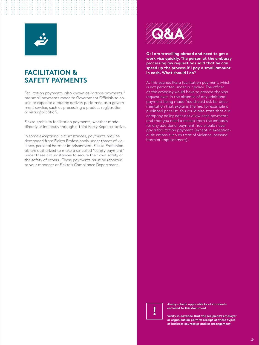

### **FACILITATION & SAFETY PAYMENTS**

Facilitation payments, also known as "grease payments," are small payments made to Government Officials to obtain or expedite a routine activity performed as a government service, such as processing a product registration or visa application.

Elekta prohibits facilitation payments, whether made directly or indirectly through a Third Party Representative.

In some exceptional circumstances, payments may be demanded from Elekta Professionals under threat of violence, personal harm or imprisonment. Elekta Professionals are authorized to make a so-called "safety payment" under these circumstances to secure their own safety or the safety of others. These payments must be reported to your manager or Elekta's Compliance Department.



**Q: I am travelling abroad and need to get a work visa quickly. The person at the embassy processing my request has said that he can speed up the process if I pay a small amount in cash. What should I do?**

A: This sounds like a facilitation payment, which is not permitted under our policy. The officer at the embassy would have to process the visa request even in the absence of any additional payment being made. You should ask for documentation that explains the fee, for example a published pricelist. You could also state that our company policy does not allow cash payments and that you need a receipt from the embassy for any additional payment. You should never pay a facilitation payment (except in exceptional situations such as treat of violence, personal harm or imprisonment).



**Always check applicable local standards enclosed to this document.**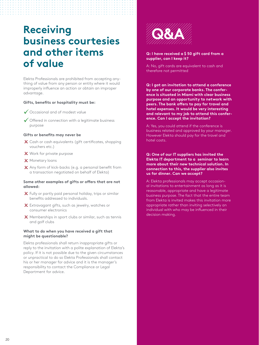## **Receiving business courtesies and other items of value**

Elekta Professionals are prohibited from accepting anything of value from any person or entity where it would improperly influence an action or obtain an improper advantage.

#### **Gifts, benefits or hospitality must be:**

- $\sqrt{\frac{1}{2}}$  Occasional and of modest value
- $\checkmark$  Offered in connection with a legitimate business purpose

#### **Gifts or benefits may never be**

- $\boldsymbol{\times}$  Cash or cash equivalents (gift certificates, shopping vouchers etc.)
- X Work for private purpose
- **X** Monetary loans
- $\times$  Any form of kick-backs (e.g. a personal benefit from a transaction negotiated on behalf of Elekta)

#### **Some other examples of gifts or offers that are not allowed:**

- $\boldsymbol{\times}$  Fully or partly paid personal holiday, trips or similar benefits addressed to individuals.
- X Extravagant gifts, such as jewelry, watches or consumer electronics
- $\times$  Memberships in sport clubs or similar, such as tennis and golf clubs

#### **What to do when you have received a gift that might be questionable?**

Elekta professionals shall return inappropriate gifts or reply to the invitation with a polite explanation of Elekta's policy. If it is not possible due to the given circumstances or unpractical to do so Elekta Professionals shall contact his or her manager for advice and it is the manager's responsibility to contact the Compliance or Legal Department for advice.



#### **Q: I have received a \$ 50 gift card from a supplier, can I keep it?**

A: No, gift cards are equivalent to cash and therefore not permitted

**Q: I got an invitation to attend a conference by one of our corporate banks. The conference is situated in Miami with clear business purpose and an opportunity to network with peers. The bank offers to pay for travel and hotel expenses. It would be very interesting and relevant to my job to attend this conference. Can I accept the invitation?**

A: Yes, you could attend if the conference is business related and approved by your manager. However Elekta should pay for the travel and hotel costs.

**Q: One of our IT suppliers has invited the Elekta IT department to a seminar to learn more about their new technical solution. In connection to this, the supplier also invites us for dinner. Can we accept?**

A: Elekta professionals may accept occasional invitations to entertainment as long as it is reasonable, appropriate and have a legitimate business purpose. The fact that the entire team from Elekta is invited makes this invitation more appropriate rather than inviting selectively an individual with who may be influenced in their decision making.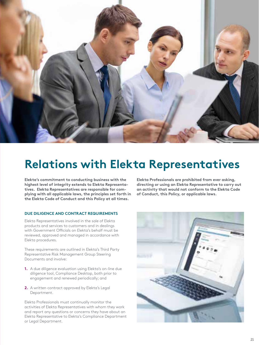

## **Relations with Elekta Representatives**

**Elekta's commitment to conducting business with the highest level of integrity extends to Elekta Representatives. Elekta Representatives are responsible for complying with all applicable laws, the principles set forth in the Elekta Code of Conduct and this Policy at all times.**

#### **DUE DILIGENCE AND CONTRACT REQUIREMENTS**

Elekta Representatives involved in the sale of Elekta products and services to customers and in dealings with Government Officials on Elekta's behalf must be reviewed, approved and managed in accordance with Elekta procedures.

These requirements are outlined in Elekta's Third Party Representative Risk Management Group Steering Documents and involve:

- **1.** A due diligence evaluation using Elekta's on-line due diligence tool, Compliance Desktop, both prior to engagement and renewed periodically; and
- **2.** A written contract approved by Elekta's Legal Department.

Elekta Professionals must continually monitor the activities of Elekta Representatives with whom they work and report any questions or concerns they have about an Elekta Representative to Elekta's Compliance Department or Legal Department.

**Elekta Professionals are prohibited from ever asking, directing or using an Elekta Representative to carry out an activity that would not conform to the Elekta Code of Conduct, this Policy, or applicable laws.**

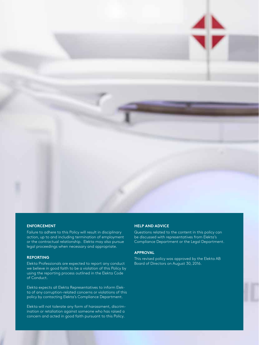

#### **ENFORCEMENT**

Failure to adhere to this Policy will result in disciplinary action, up to and including termination of employment or the contractual relationship. Elekta may also pursue legal proceedings when necessary and appropriate.

#### **REPORTING**

Elekta Professionals are expected to report any conduct we believe in good faith to be a violation of this Policy by using the reporting process outlined in the Elekta Code of Conduct.

Elekta expects all Elekta Representatives to inform Elekta of any corruption-related concerns or violations of this policy by contacting Elekta's Compliance Department.

Elekta will not tolerate any form of harassment, discrimination or retaliation against someone who has raised a concern and acted in good faith pursuant to this Policy.

#### **HELP AND ADVICE**

Questions related to the content in this policy can be discussed with representatives from Elekta's Compliance Department or the Legal Department.

#### **APPROVAL**

This revised policy was approved by the Elekta AB Board of Directors on August 30, 2016.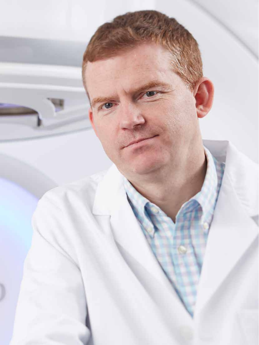